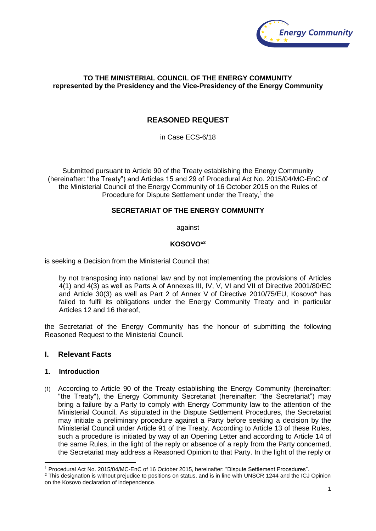

### **TO THE MINISTERIAL COUNCIL OF THE ENERGY COMMUNITY represented by the Presidency and the Vice-Presidency of the Energy Community**

# **REASONED REQUEST**

in Case ECS-6/18

Submitted pursuant to Article 90 of the Treaty establishing the Energy Community (hereinafter: "the Treaty") and Articles 15 and 29 of Procedural Act No. 2015/04/MC-EnC of the Ministerial Council of the Energy Community of 16 October 2015 on the Rules of Procedure for Dispute Settlement under the Treaty,<sup>1</sup> the

## **SECRETARIAT OF THE ENERGY COMMUNITY**

against

### **KOSOVO\*<sup>2</sup>**

is seeking a Decision from the Ministerial Council that

by not transposing into national law and by not implementing the provisions of Articles 4(1) and 4(3) as well as Parts A of Annexes III, IV, V, VI and VII of Directive 2001/80/EC and Article 30(3) as well as Part 2 of Annex V of Directive 2010/75/EU, Kosovo\* has failed to fulfil its obligations under the Energy Community Treaty and in particular Articles 12 and 16 thereof,

the Secretariat of the Energy Community has the honour of submitting the following Reasoned Request to the Ministerial Council.

### **I. Relevant Facts**

### **1. Introduction**

1

(1) According to Article 90 of the Treaty establishing the Energy Community (hereinafter: "the Treaty"), the Energy Community Secretariat (hereinafter: "the Secretariat") may bring a failure by a Party to comply with Energy Community law to the attention of the Ministerial Council. As stipulated in the Dispute Settlement Procedures, the Secretariat may initiate a preliminary procedure against a Party before seeking a decision by the Ministerial Council under Article 91 of the Treaty. According to Article 13 of these Rules, such a procedure is initiated by way of an Opening Letter and according to Article 14 of the same Rules, in the light of the reply or absence of a reply from the Party concerned, the Secretariat may address a Reasoned Opinion to that Party. In the light of the reply or

<sup>1</sup> Procedural Act No. 2015/04/MC-EnC of 16 October 2015, hereinafter: "Dispute Settlement Procedures".

<sup>&</sup>lt;sup>2</sup> This designation is without prejudice to positions on status, and is in line with UNSCR 1244 and the ICJ Opinion on the Kosovo declaration of independence.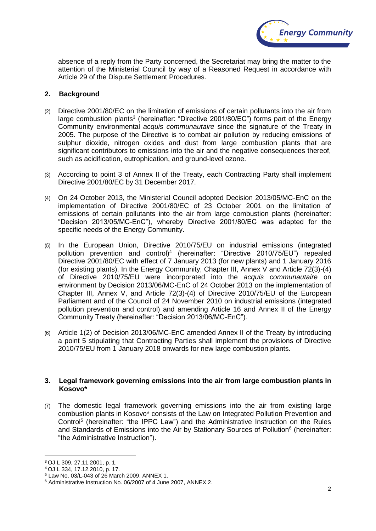

absence of a reply from the Party concerned, the Secretariat may bring the matter to the attention of the Ministerial Council by way of a Reasoned Request in accordance with Article 29 of the Dispute Settlement Procedures.

#### **2. Background**

- (2) Directive 2001/80/EC on the limitation of emissions of certain pollutants into the air from large combustion plants<sup>3</sup> (hereinafter: "Directive 2001/80/EC") forms part of the Energy Community environmental *acquis communautaire* since the signature of the Treaty in 2005. The purpose of the Directive is to combat air pollution by reducing emissions of sulphur dioxide, nitrogen oxides and dust from large combustion plants that are significant contributors to emissions into the air and the negative consequences thereof, such as acidification, eutrophication, and ground-level ozone.
- (3) According to point 3 of Annex II of the Treaty, each Contracting Party shall implement Directive 2001/80/EC by 31 December 2017.
- (4) On 24 October 2013, the Ministerial Council adopted Decision 2013/05/MC-EnC on the implementation of Directive 2001/80/EC of 23 October 2001 on the limitation of emissions of certain pollutants into the air from large combustion plants (hereinafter: "Decision 2013/05/MC-EnC"), whereby Directive 2001/80/EC was adapted for the specific needs of the Energy Community.
- (5) In the European Union, Directive 2010/75/EU on industrial emissions (integrated pollution prevention and control)<sup>4</sup> (hereinafter: "Directive 2010/75/EU") repealed Directive 2001/80/EC with effect of 7 January 2013 (for new plants) and 1 January 2016 (for existing plants). In the Energy Community, Chapter III, Annex V and Article 72(3)-(4) of Directive 2010/75/EU were incorporated into the *acquis communautaire* on environment by Decision 2013/06/MC-EnC of 24 October 2013 on the implementation of Chapter III, Annex V, and Article 72(3)-(4) of Directive 2010/75/EU of the European Parliament and of the Council of 24 November 2010 on industrial emissions (integrated pollution prevention and control) and amending Article 16 and Annex II of the Energy Community Treaty (hereinafter: "Decision 2013/06/MC-EnC").
- (6) Article 1(2) of Decision 2013/06/MC-EnC amended Annex II of the Treaty by introducing a point 5 stipulating that Contracting Parties shall implement the provisions of Directive 2010/75/EU from 1 January 2018 onwards for new large combustion plants.

#### **3. Legal framework governing emissions into the air from large combustion plants in Kosovo\***

(7) The domestic legal framework governing emissions into the air from existing large combustion plants in Kosovo\* consists of the Law on Integrated Pollution Prevention and Control<sup>5</sup> (hereinafter: "the IPPC Law") and the Administrative Instruction on the Rules and Standards of Emissions into the Air by Stationary Sources of Pollution<sup>6</sup> (hereinafter: "the Administrative Instruction").

<u>.</u>

<sup>3</sup> OJ L 309, 27.11.2001, p. 1.

<sup>4</sup> OJ L 334, 17.12.2010, p. 17.

<sup>5</sup> Law No. 03/L-043 of 26 March 2009, ANNEX 1.

<sup>6</sup> Administrative Instruction No. 06/2007 of 4 June 2007, ANNEX 2.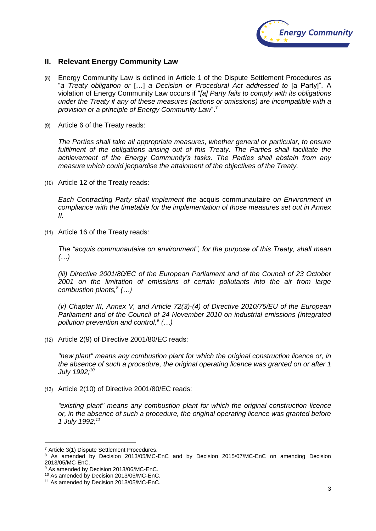

## **II. Relevant Energy Community Law**

- (8) Energy Community Law is defined in Article 1 of the Dispute Settlement Procedures as "*a Treaty obligation or* […] *a Decision or Procedural Act addressed to* [a Party]". A violation of Energy Community Law occurs if "*[a] Party fails to comply with its obligations under the Treaty if any of these measures (actions or omissions) are incompatible with a provision or a principle of Energy Community Law*". 7
- (9) Article 6 of the Treaty reads:

*The Parties shall take all appropriate measures, whether general or particular, to ensure fulfilment of the obligations arising out of this Treaty. The Parties shall facilitate the achievement of the Energy Community's tasks. The Parties shall abstain from any measure which could jeopardise the attainment of the objectives of the Treaty.*

(10) Article 12 of the Treaty reads:

*Each Contracting Party shall implement the* acquis communautaire *on Environment in compliance with the timetable for the implementation of those measures set out in Annex II.*

(11) Article 16 of the Treaty reads:

*The "acquis communautaire on environment", for the purpose of this Treaty, shall mean (…)*

*(iii) Directive 2001/80/EC of the European Parliament and of the Council of 23 October 2001 on the limitation of emissions of certain pollutants into the air from large combustion plants,<sup>8</sup> (…)*

*(v) Chapter III, Annex V, and Article 72(3)-(4) of Directive 2010/75/EU of the European Parliament and of the Council of 24 November 2010 on industrial emissions (integrated pollution prevention and control,<sup>9</sup> (…)*

(12) Article 2(9) of Directive 2001/80/EC reads:

*"new plant" means any combustion plant for which the original construction licence or, in the absence of such a procedure, the original operating licence was granted on or after 1 July 1992; 10*

(13) Article 2(10) of Directive 2001/80/EC reads:

*"existing plant" means any combustion plant for which the original construction licence or, in the absence of such a procedure, the original operating licence was granted before 1 July 1992; 11*

1

<sup>7</sup> Article 3(1) Dispute Settlement Procedures.

<sup>&</sup>lt;sup>8</sup> As amended by Decision 2013/05/MC-EnC and by Decision 2015/07/MC-EnC on amending Decision 2013/05/MC-EnC.

<sup>&</sup>lt;sup>9</sup> As amended by Decision 2013/06/MC-EnC.

<sup>10</sup> As amended by Decision 2013/05/MC-EnC.

<sup>&</sup>lt;sup>11</sup> As amended by Decision 2013/05/MC-EnC.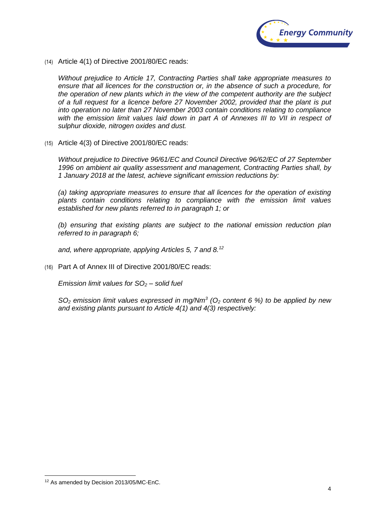

(14) Article 4(1) of Directive 2001/80/EC reads:

*Without prejudice to Article 17, Contracting Parties shall take appropriate measures to ensure that all licences for the construction or, in the absence of such a procedure, for the operation of new plants which in the view of the competent authority are the subject of a full request for a licence before 27 November 2002, provided that the plant is put into operation no later than 27 November 2003 contain conditions relating to compliance*  with the emission limit values laid down in part A of Annexes III to VII in respect of *sulphur dioxide, nitrogen oxides and dust.*

(15) Article 4(3) of Directive 2001/80/EC reads:

*Without prejudice to Directive 96/61/EC and Council Directive 96/62/EC of 27 September 1996 on ambient air quality assessment and management, Contracting Parties shall, by 1 January 2018 at the latest, achieve significant emission reductions by:*

*(a) taking appropriate measures to ensure that all licences for the operation of existing plants contain conditions relating to compliance with the emission limit values established for new plants referred to in paragraph 1; or*

*(b) ensuring that existing plants are subject to the national emission reduction plan referred to in paragraph 6;*

*and, where appropriate, applying Articles 5, 7 and 8.<sup>12</sup>*

(16) Part A of Annex III of Directive 2001/80/EC reads:

*Emission limit values for SO<sup>2</sup> – solid fuel*

*SO<sup>2</sup> emission limit values expressed in mg/Nm<sup>3</sup> (O<sup>2</sup> content 6 %) to be applied by new and existing plants pursuant to Article 4(1) and 4(3) respectively:*

1

<sup>12</sup> As amended by Decision 2013/05/MC-EnC.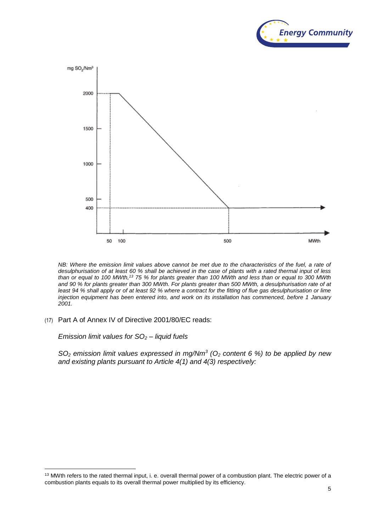



*NB: Where the emission limit values above cannot be met due to the characteristics of the fuel, a rate of desulphurisation of at least 60 % shall be achieved in the case of plants with a rated thermal input of less than or equal to 100 MWth,<sup>13</sup> 75 % for plants greater than 100 MWth and less than or equal to 300 MWth and 90 % for plants greater than 300 MWth. For plants greater than 500 MWth, a desulphurisation rate of at least 94 % shall apply or of at least 92 % where a contract for the fitting of flue gas desulphurisation or lime injection equipment has been entered into, and work on its installation has commenced, before 1 January 2001.*

(17) Part A of Annex IV of Directive 2001/80/EC reads:

*Emission limit values for SO<sup>2</sup> – liquid fuels*

1

*SO<sup>2</sup> emission limit values expressed in mg/Nm<sup>3</sup> (O<sup>2</sup> content 6 %) to be applied by new and existing plants pursuant to Article 4(1) and 4(3) respectively:*

<sup>&</sup>lt;sup>13</sup> MWth refers to the rated thermal input, i. e. overall thermal power of a combustion plant. The electric power of a combustion plants equals to its overall thermal power multiplied by its efficiency.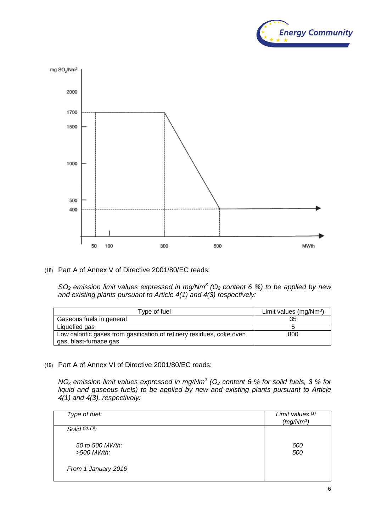



(18) Part A of Annex V of Directive 2001/80/EC reads:

*SO<sup>2</sup> emission limit values expressed in mg/Nm<sup>3</sup> (O<sup>2</sup> content 6 %) to be applied by new and existing plants pursuant to Article 4(1) and 4(3) respectively:*

| Type of fuel                                                          | Limit values $(mg/Nm3)$ |
|-----------------------------------------------------------------------|-------------------------|
| Gaseous fuels in general                                              | 35                      |
| Liquefied gas                                                         |                         |
| Low calorific gases from gasification of refinery residues, coke oven | 800                     |
| gas, blast-furnace gas                                                |                         |

(19) Part A of Annex VI of Directive 2001/80/EC reads:

*NO<sup>x</sup> emission limit values expressed in mg/Nm<sup>3</sup> (O<sup>2</sup> content 6 % for solid fuels, 3 % for liquid and gaseous fuels) to be applied by new and existing plants pursuant to Article 4(1) and 4(3), respectively:*

| Type of fuel:                   | Limit values (1)<br>(mg/Nm <sup>3</sup> ) |
|---------------------------------|-------------------------------------------|
| Solid $(2)$ , $(3)$ :           |                                           |
| 50 to 500 MWth:<br>$>500$ MWth: | 600<br>500                                |
| From 1 January 2016             |                                           |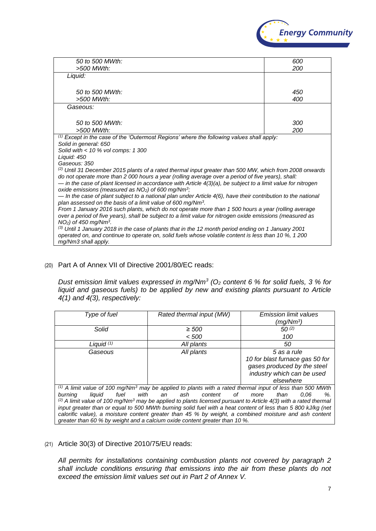

| 50 to 500 MWth:                                                                                                                                                                | 600 |  |
|--------------------------------------------------------------------------------------------------------------------------------------------------------------------------------|-----|--|
| >500 MWth:                                                                                                                                                                     | 200 |  |
| Liquid:                                                                                                                                                                        |     |  |
|                                                                                                                                                                                |     |  |
| 50 to 500 MWth:                                                                                                                                                                | 450 |  |
| >500 MWth:                                                                                                                                                                     | 400 |  |
| Gaseous:                                                                                                                                                                       |     |  |
|                                                                                                                                                                                |     |  |
| 50 to 500 MWth:                                                                                                                                                                | 300 |  |
| >500 MWth:                                                                                                                                                                     | 200 |  |
| $(1) Except in the case of the 'Outermost Regions' where the following values shall apply:$                                                                                    |     |  |
| Solid in general: 650                                                                                                                                                          |     |  |
| Solid with $<$ 10 % vol comps: 1 300                                                                                                                                           |     |  |
| Liquid: 450<br>Gaseous: 350                                                                                                                                                    |     |  |
| $^{(2)}$ Until 31 December 2015 plants of a rated thermal input greater than 500 MW, which from 2008 onwards                                                                   |     |  |
| do not operate more than 2 000 hours a year (rolling average over a period of five years), shall:                                                                              |     |  |
| - in the case of plant licensed in accordance with Article $4(3)(a)$ , be subject to a limit value for nitrogen                                                                |     |  |
| oxide emissions (measured as $NO2$ ) of 600 mg/Nm <sup>3</sup> ;                                                                                                               |     |  |
| $-$ In the case of plant subject to a national plan under Article 4(6), have their contribution to the national                                                                |     |  |
| plan assessed on the basis of a limit value of 600 mg/Nm <sup>3</sup> .<br>From 1 January 2016 such plants, which do not operate more than 1 500 hours a year (rolling average |     |  |
| over a period of five years), shall be subject to a limit value for nitrogen oxide emissions (measured as                                                                      |     |  |
| $NO2$ ) of 450 mg/Nm <sup>3</sup> .                                                                                                                                            |     |  |
| (3) Until 1 January 2018 in the case of plants that in the 12 month period ending on 1 January 2001                                                                            |     |  |
| operated on, and continue to operate on, solid fuels whose volatile content is less than 10 %, 1 200                                                                           |     |  |
| mg/Nm3 shall apply.                                                                                                                                                            |     |  |

### (20) Part A of Annex VII of Directive 2001/80/EC reads:

*Dust emission limit values expressed in mg/Nm<sup>3</sup> (O<sup>2</sup> content 6 % for solid fuels, 3 % for liquid and gaseous fuels) to be applied by new and existing plants pursuant to Article 4(1) and 4(3), respectively:*

| Type of fuel              | Rated thermal input (MW)                                                                                                               | <b>Emission limit values</b>    |
|---------------------------|----------------------------------------------------------------------------------------------------------------------------------------|---------------------------------|
|                           |                                                                                                                                        |                                 |
|                           |                                                                                                                                        | (mg/Nm <sup>3</sup> )           |
| Solid                     | $\geq 500$                                                                                                                             | 50(2)                           |
|                           | < 500                                                                                                                                  | 100                             |
| Liquid $(1)$              | All plants                                                                                                                             | 50                              |
| Gaseous                   | All plants                                                                                                                             | 5 as a rule                     |
|                           |                                                                                                                                        | 10 for blast furnace gas 50 for |
|                           |                                                                                                                                        | gases produced by the steel     |
|                           |                                                                                                                                        | industry which can be used      |
|                           |                                                                                                                                        | elsewhere                       |
|                           | $^{(1)}$ A limit value of 100 mg/Nm <sup>3</sup> may be applied to plants with a rated thermal input of less than 500 MWth             |                                 |
| fuel<br>burning<br>liauid | with<br>an ash content<br>of                                                                                                           | more<br>than<br>0.06<br>%.      |
|                           | <sup>(2)</sup> A limit value of 100 mg/Nm <sup>3</sup> may be applied to plants licensed pursuant to Article 4(3) with a rated thermal |                                 |
|                           | input greater than or equal to 500 MWth burning solid fuel with a heat content of less than 5 800 kJ/kg (net                           |                                 |
|                           | calorific value), a moisture content greater than 45 % by weight, a combined moisture and ash content                                  |                                 |
|                           | greater than 60 % by weight and a calcium oxide content greater than 10 %.                                                             |                                 |

#### (21) Article 30(3) of Directive 2010/75/EU reads:

*All permits for installations containing combustion plants not covered by paragraph 2 shall include conditions ensuring that emissions into the air from these plants do not exceed the emission limit values set out in Part 2 of Annex V.*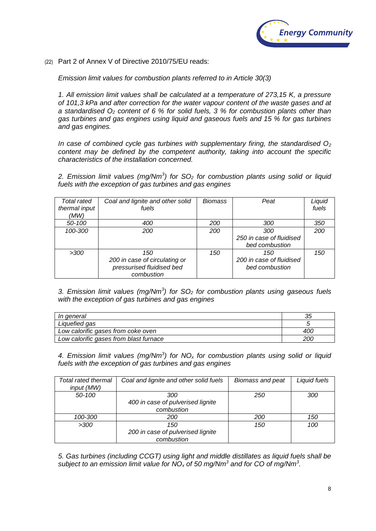

(22) Part 2 of Annex V of Directive 2010/75/EU reads:

*Emission limit values for combustion plants referred to in Article 30(3)*

*1. All emission limit values shall be calculated at a temperature of 273,15 K, a pressure of 101,3 kPa and after correction for the water vapour content of the waste gases and at a standardised O<sup>2</sup> content of 6 % for solid fuels, 3 % for combustion plants other than gas turbines and gas engines using liquid and gaseous fuels and 15 % for gas turbines and gas engines.*

*In case of combined cycle gas turbines with supplementary firing, the standardised O<sup>2</sup> content may be defined by the competent authority, taking into account the specific characteristics of the installation concerned.*

*2. Emission limit values (mg/Nm<sup>3</sup> ) for SO<sup>2</sup> for combustion plants using solid or liquid fuels with the exception of gas turbines and gas engines*

| Total rated<br>thermal input<br>(MW) | Coal and lignite and other solid<br>fuels | Biomass | Peat                     | Liquid<br>fuels |
|--------------------------------------|-------------------------------------------|---------|--------------------------|-----------------|
| 50-100                               | 400                                       | 200     | 300                      | 350             |
| 100-300                              | 200                                       | 200     | 300                      | 200             |
|                                      |                                           |         | 250 in case of fluidised |                 |
|                                      |                                           |         | bed combustion           |                 |
| >300                                 | 150                                       | 150     | 150                      | 150             |
|                                      | 200 in case of circulating or             |         | 200 in case of fluidised |                 |
|                                      | pressurised fluidised bed                 |         | bed combustion           |                 |
|                                      | combustion                                |         |                          |                 |

*3. Emission limit values (mg/Nm<sup>3</sup> ) for SO<sup>2</sup> for combustion plants using gaseous fuels with the exception of gas turbines and gas engines*

| In general                             | 35  |
|----------------------------------------|-----|
| Liquefied gas                          |     |
| Low calorific gases from coke oven     | 400 |
| Low calorific gases from blast furnace | 200 |

*4. Emission limit values (mg/Nm<sup>3</sup> ) for NO<sup>x</sup> for combustion plants using solid or liquid fuels with the exception of gas turbines and gas engines*

| Total rated thermal | Coal and lignite and other solid fuels | Biomass and peat | Liquid fuels |
|---------------------|----------------------------------------|------------------|--------------|
| input (MW)          |                                        |                  |              |
| 50-100              | 300                                    | 250              | 300          |
|                     | 400 in case of pulverised lignite      |                  |              |
|                     | combustion                             |                  |              |
| 100-300             | 200                                    | 200              | 150          |
| >300                | 150                                    | 150              | 100          |
|                     | 200 in case of pulverised lignite      |                  |              |
|                     | combustion                             |                  |              |

*5. Gas turbines (including CCGT) using light and middle distillates as liquid fuels shall be subject to an emission limit value for NO<sup>x</sup> of 50 mg/Nm<sup>3</sup> and for CO of mg/Nm<sup>3</sup> .*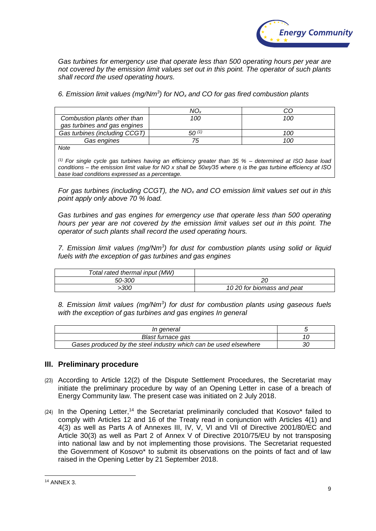

*Gas turbines for emergency use that operate less than 500 operating hours per year are not covered by the emission limit values set out in this point. The operator of such plants shall record the used operating hours.*

*6. Emission limit values (mg/Nm<sup>3</sup> ) for NO<sup>x</sup> and CO for gas fired combustion plants*

|                                                              | NO.   |     |
|--------------------------------------------------------------|-------|-----|
| Combustion plants other than<br>gas turbines and gas engines | 100   | 100 |
| Gas turbines (including CCGT)                                | 50(1) | 100 |
| Gas engines                                                  | 75    | 100 |
| Note                                                         |       |     |

*Note*

*(1) For single cycle gas turbines having an efficiency greater than 35 % – determined at ISO base load conditions – the emission limit value for NO x shall be 50xη/35 where η is the gas turbine efficiency at ISO base load conditions expressed as a percentage.*

*For gas turbines (including CCGT), the NO<sup>x</sup> and CO emission limit values set out in this point apply only above 70 % load.*

Gas turbines and gas engines for emergency use that operate less than 500 operating *hours per year are not covered by the emission limit values set out in this point. The operator of such plants shall record the used operating hours.*

*7. Emission limit values (mg/Nm<sup>3</sup> ) for dust for combustion plants using solid or liquid fuels with the exception of gas turbines and gas engines* 

| Total rated thermal input (MW) |                           |
|--------------------------------|---------------------------|
| 50-300                         |                           |
| ·300                           | 1020 for biomass and peat |

*8. Emission limit values (mg/Nm<sup>3</sup> ) for dust for combustion plants using gaseous fuels with the exception of gas turbines and gas engines In general*

| In general                                                       |    |
|------------------------------------------------------------------|----|
| Blast furnace gas                                                |    |
| Gases produced by the steel industry which can be used elsewhere | 30 |

### **III. Preliminary procedure**

- (23) According to Article 12(2) of the Dispute Settlement Procedures, the Secretariat may initiate the preliminary procedure by way of an Opening Letter in case of a breach of Energy Community law. The present case was initiated on 2 July 2018.
- $(24)$  In the Opening Letter,<sup>14</sup> the Secretariat preliminarily concluded that Kosovo\* failed to comply with Articles 12 and 16 of the Treaty read in conjunction with Articles 4(1) and 4(3) as well as Parts A of Annexes III, IV, V, VI and VII of Directive 2001/80/EC and Article 30(3) as well as Part 2 of Annex V of Directive 2010/75/EU by not transposing into national law and by not implementing those provisions. The Secretariat requested the Government of Kosovo\* to submit its observations on the points of fact and of law raised in the Opening Letter by 21 September 2018.

<sup>1</sup> <sup>14</sup> ANNEX 3.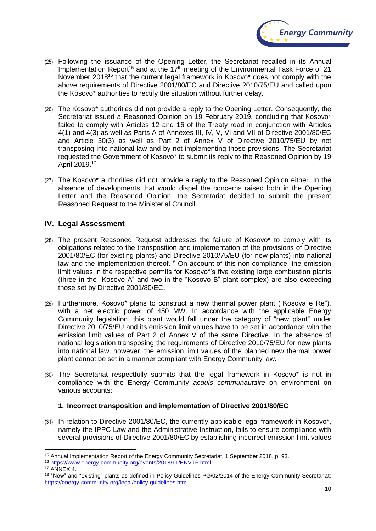

- (25) Following the issuance of the Opening Letter, the Secretariat recalled in its Annual Implementation Report<sup>15</sup> and at the 17<sup>th</sup> meeting of the Environmental Task Force of 21 November 2018<sup>16</sup> that the current legal framework in Kosovo\* does not comply with the above requirements of Directive 2001/80/EC and Directive 2010/75/EU and called upon the Kosovo\* authorities to rectify the situation without further delay.
- (26) The Kosovo\* authorities did not provide a reply to the Opening Letter. Consequently, the Secretariat issued a Reasoned Opinion on 19 February 2019, concluding that Kosovo\* failed to comply with Articles 12 and 16 of the Treaty read in conjunction with Articles 4(1) and 4(3) as well as Parts A of Annexes III, IV, V, VI and VII of Directive 2001/80/EC and Article 30(3) as well as Part 2 of Annex V of Directive 2010/75/EU by not transposing into national law and by not implementing those provisions. The Secretariat requested the Government of Kosovo\* to submit its reply to the Reasoned Opinion by 19 April 2019.<sup>17</sup>
- (27) The Kosovo\* authorities did not provide a reply to the Reasoned Opinion either. In the absence of developments that would dispel the concerns raised both in the Opening Letter and the Reasoned Opinion, the Secretariat decided to submit the present Reasoned Request to the Ministerial Council.

# **IV. Legal Assessment**

- (28) The present Reasoned Request addresses the failure of Kosovo\* to comply with its obligations related to the transposition and implementation of the provisions of Directive 2001/80/EC (for existing plants) and Directive 2010/75/EU (for new plants) into national law and the implementation thereof.<sup>18</sup> On account of this non-compliance, the emission limit values in the respective permits for Kosovo\*'s five existing large combustion plants (three in the "Kosovo A" and two in the "Kosovo B" plant complex) are also exceeding those set by Directive 2001/80/EC.
- (29) Furthermore, Kosovo\* plans to construct a new thermal power plant ("Kosova e Re"), with a net electric power of 450 MW. In accordance with the applicable Energy Community legislation, this plant would fall under the category of "new plant" under Directive 2010/75/EU and its emission limit values have to be set in accordance with the emission limit values of Part 2 of Annex V of the same Directive. In the absence of national legislation transposing the requirements of Directive 2010/75/EU for new plants into national law, however, the emission limit values of the planned new thermal power plant cannot be set in a manner compliant with Energy Community law.
- (30) The Secretariat respectfully submits that the legal framework in Kosovo\* is not in compliance with the Energy Community *acquis communautaire* on environment on various accounts:

### **1. Incorrect transposition and implementation of Directive 2001/80/EC**

(31) In relation to Directive 2001/80/EC, the currently applicable legal framework in Kosovo\*, namely the IPPC Law and the Administrative Instruction, fails to ensure compliance with several provisions of Directive 2001/80/EC by establishing incorrect emission limit values

<sup>16</sup> [https://www.energy-community.org/events/2018/11/ENVTF.html.](https://www.energy-community.org/events/2018/11/ENVTF.html)

1

<sup>15</sup> Annual Implementation Report of the Energy Community Secretariat, 1 September 2018, p. 93.

<sup>&</sup>lt;sup>17</sup> ANNEX 4.

<sup>&</sup>lt;sup>18</sup> "New" and "existing" plants as defined in Policy Guidelines PG/02/2014 of the Energy Community Secretariat: <https://energy-community.org/legal/policy-guidelines.html>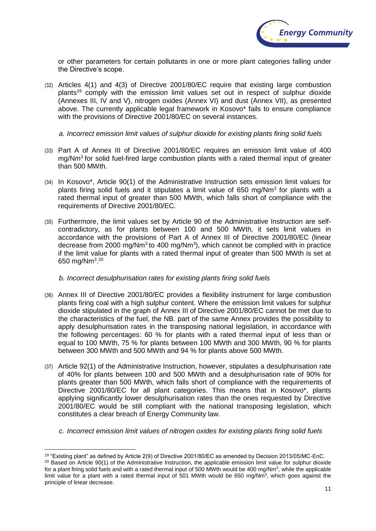

or other parameters for certain pollutants in one or more plant categories falling under the Directive's scope.

(32) Articles 4(1) and 4(3) of Directive 2001/80/EC require that existing large combustion plants<sup>19</sup> comply with the emission limit values set out in respect of sulphur dioxide (Annexes III, IV and V), nitrogen oxides (Annex VI) and dust (Annex VII), as presented above. The currently applicable legal framework in Kosovo\* fails to ensure compliance with the provisions of Directive 2001/80/EC on several instances.

*a. Incorrect emission limit values of sulphur dioxide for existing plants firing solid fuels*

- (33) Part A of Annex III of Directive 2001/80/EC requires an emission limit value of 400 mg/Nm<sup>3</sup> for solid fuel-fired large combustion plants with a rated thermal input of greater than 500 MWth.
- (34) In Kosovo\*, Article 90(1) of the Administrative Instruction sets emission limit values for plants firing solid fuels and it stipulates a limit value of 650 mg/Nm<sup>3</sup> for plants with a rated thermal input of greater than 500 MWth, which falls short of compliance with the requirements of Directive 2001/80/EC.
- (35) Furthermore, the limit values set by Article 90 of the Administrative Instruction are selfcontradictory, as for plants between 100 and 500 MWth, it sets limit values in accordance with the provisions of Part A of Annex III of Directive 2001/80/EC (linear decrease from 2000 mg/Nm<sup>3</sup> to 400 mg/Nm<sup>3</sup>), which cannot be complied with in practice if the limit value for plants with a rated thermal input of greater than 500 MWth is set at 650 mg/Nm<sup>3</sup>.<sup>20</sup>

### *b. Incorrect desulphurisation rates for existing plants firing solid fuels*

- (36) Annex III of Directive 2001/80/EC provides a flexibility instrument for large combustion plants firing coal with a high sulphur content. Where the emission limit values for sulphur dioxide stipulated in the graph of Annex III of Directive 2001/80/EC cannot be met due to the characteristics of the fuel, the NB. part of the same Annex provides the possibility to apply desulphurisation rates in the transposing national legislation, in accordance with the following percentages: 60 % for plants with a rated thermal input of less than or equal to 100 MWth, 75 % for plants between 100 MWth and 300 MWth, 90 % for plants between 300 MWth and 500 MWth and 94 % for plants above 500 MWth.
- (37) Article 92(1) of the Administrative Instruction, however, stipulates a desulphurisation rate of 40% for plants between 100 and 500 MWth and a desulphurisation rate of 90% for plants greater than 500 MWth, which falls short of compliance with the requirements of Directive 2001/80/EC for all plant categories. This means that in Kosovo\*, plants applying significantly lower desulphurisation rates than the ones requested by Directive 2001/80/EC would be still compliant with the national transposing legislation, which constitutes a clear breach of Energy Community law.
	- *c. Incorrect emission limit values of nitrogen oxides for existing plants firing solid fuels*

<sup>1</sup> <sup>19</sup> "Existing plant" as defined by Article 2(9) of Directive 2001/80/EC as amended by Decision 2013/05/MC-EnC.

<sup>&</sup>lt;sup>20</sup> Based on Article 90(1) of the Administrative Instruction, the applicable emission limit value for sulphur dioxide for a plant firing solid fuels and with a rated thermal input of 500 MWth would be 400 mg/Nm<sup>3</sup>, while the applicable limit value for a plant with a rated thermal input of 501 MWth would be 650 mg/Nm<sup>3</sup>, which goes against the principle of linear decrease.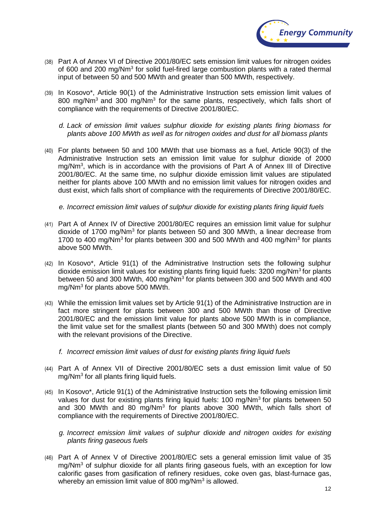

- (38) Part A of Annex VI of Directive 2001/80/EC sets emission limit values for nitrogen oxides of 600 and 200 mg/Nm<sup>3</sup> for solid fuel-fired large combustion plants with a rated thermal input of between 50 and 500 MWth and greater than 500 MWth, respectively.
- (39) In Kosovo\*, Article 90(1) of the Administrative Instruction sets emission limit values of 800 mg/Nm<sup>3</sup> and 300 mg/Nm<sup>3</sup> for the same plants, respectively, which falls short of compliance with the requirements of Directive 2001/80/EC.
	- *d. Lack of emission limit values sulphur dioxide for existing plants firing biomass for plants above 100 MWth as well as for nitrogen oxides and dust for all biomass plants*
- (40) For plants between 50 and 100 MWth that use biomass as a fuel, Article 90(3) of the Administrative Instruction sets an emission limit value for sulphur dioxide of 2000 mg/Nm<sup>3</sup>, which is in accordance with the provisions of Part A of Annex III of Directive 2001/80/EC. At the same time, no sulphur dioxide emission limit values are stipulated neither for plants above 100 MWth and no emission limit values for nitrogen oxides and dust exist, which falls short of compliance with the requirements of Directive 2001/80/EC.

*e. Incorrect emission limit values of sulphur dioxide for existing plants firing liquid fuels*

- (41) Part A of Annex IV of Directive 2001/80/EC requires an emission limit value for sulphur dioxide of 1700 mg/Nm<sup>3</sup> for plants between 50 and 300 MWth, a linear decrease from 1700 to 400 mg/Nm<sup>3</sup> for plants between 300 and 500 MWth and 400 mg/Nm<sup>3</sup> for plants above 500 MWth.
- (42) In Kosovo\*, Article 91(1) of the Administrative Instruction sets the following sulphur dioxide emission limit values for existing plants firing liquid fuels: 3200 mg/Nm<sup>3</sup> for plants between 50 and 300 MWth, 400 mg/Nm<sup>3</sup> for plants between 300 and 500 MWth and 400 mg/Nm<sup>3</sup> for plants above 500 MWth.
- (43) While the emission limit values set by Article 91(1) of the Administrative Instruction are in fact more stringent for plants between 300 and 500 MWth than those of Directive 2001/80/EC and the emission limit value for plants above 500 MWth is in compliance, the limit value set for the smallest plants (between 50 and 300 MWth) does not comply with the relevant provisions of the Directive.
	- *f. Incorrect emission limit values of dust for existing plants firing liquid fuels*
- (44) Part A of Annex VII of Directive 2001/80/EC sets a dust emission limit value of 50 mg/Nm<sup>3</sup> for all plants firing liquid fuels.
- (45) In Kosovo\*, Article 91(1) of the Administrative Instruction sets the following emission limit values for dust for existing plants firing liquid fuels: 100 mg/Nm<sup>3</sup> for plants between 50 and 300 MWth and 80 mg/Nm<sup>3</sup> for plants above 300 MWth, which falls short of compliance with the requirements of Directive 2001/80/EC.
	- *g. Incorrect emission limit values of sulphur dioxide and nitrogen oxides for existing plants firing gaseous fuels*
- (46) Part A of Annex V of Directive 2001/80/EC sets a general emission limit value of 35 mg/Nm<sup>3</sup> of sulphur dioxide for all plants firing gaseous fuels, with an exception for low calorific gases from gasification of refinery residues, coke oven gas, blast-furnace gas, whereby an emission limit value of 800 mg/Nm<sup>3</sup> is allowed.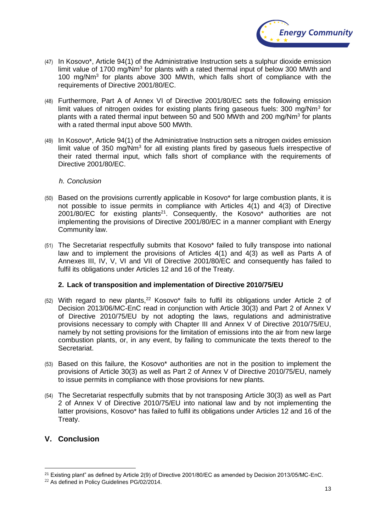

- (47) In Kosovo\*, Article 94(1) of the Administrative Instruction sets a sulphur dioxide emission limit value of 1700 mg/Nm<sup>3</sup> for plants with a rated thermal input of below 300 MWth and 100 mg/Nm<sup>3</sup> for plants above 300 MWth, which falls short of compliance with the requirements of Directive 2001/80/EC.
- (48) Furthermore, Part A of Annex VI of Directive 2001/80/EC sets the following emission limit values of nitrogen oxides for existing plants firing gaseous fuels: 300 mg/Nm<sup>3</sup> for plants with a rated thermal input between 50 and 500 MWth and 200 mg/Nm<sup>3</sup> for plants with a rated thermal input above 500 MWth.
- (49) In Kosovo\*, Article 94(1) of the Administrative Instruction sets a nitrogen oxides emission limit value of 350 mg/Nm<sup>3</sup> for all existing plants fired by gaseous fuels irrespective of their rated thermal input, which falls short of compliance with the requirements of Directive 2001/80/EC.

#### *h. Conclusion*

- (50) Based on the provisions currently applicable in Kosovo\* for large combustion plants, it is not possible to issue permits in compliance with Articles 4(1) and 4(3) of Directive  $2001/80$ /EC for existing plants<sup>21</sup>. Consequently, the Kosovo\* authorities are not implementing the provisions of Directive 2001/80/EC in a manner compliant with Energy Community law.
- (51) The Secretariat respectfully submits that Kosovo\* failed to fully transpose into national law and to implement the provisions of Articles 4(1) and 4(3) as well as Parts A of Annexes III, IV, V, VI and VII of Directive 2001/80/EC and consequently has failed to fulfil its obligations under Articles 12 and 16 of the Treaty.

### **2. Lack of transposition and implementation of Directive 2010/75/EU**

- $(52)$  With regard to new plants,<sup>22</sup> Kosovo\* fails to fulfil its obligations under Article 2 of Decision 2013/06/MC-EnC read in conjunction with Article 30(3) and Part 2 of Annex V of Directive 2010/75/EU by not adopting the laws, regulations and administrative provisions necessary to comply with Chapter III and Annex V of Directive 2010/75/EU, namely by not setting provisions for the limitation of emissions into the air from new large combustion plants, or, in any event, by failing to communicate the texts thereof to the Secretariat.
- (53) Based on this failure, the Kosovo\* authorities are not in the position to implement the provisions of Article 30(3) as well as Part 2 of Annex V of Directive 2010/75/EU, namely to issue permits in compliance with those provisions for new plants.
- (54) The Secretariat respectfully submits that by not transposing Article 30(3) as well as Part 2 of Annex V of Directive 2010/75/EU into national law and by not implementing the latter provisions, Kosovo\* has failed to fulfil its obligations under Articles 12 and 16 of the Treaty.

# **V. Conclusion**

<u>.</u>

<sup>&</sup>lt;sup>21</sup> Existing plant" as defined by Article 2(9) of Directive 2001/80/EC as amended by Decision 2013/05/MC-EnC.

<sup>22</sup> As defined in Policy Guidelines PG/02/2014.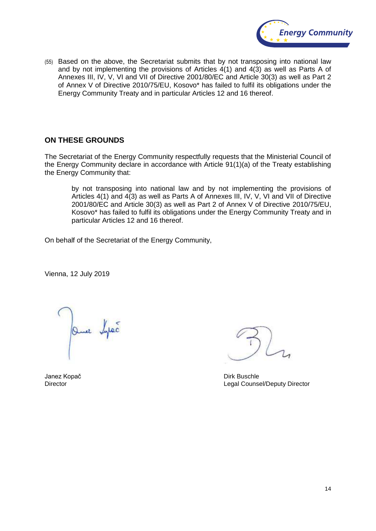

(55) Based on the above, the Secretariat submits that by not transposing into national law and by not implementing the provisions of Articles 4(1) and 4(3) as well as Parts A of Annexes III, IV, V, VI and VII of Directive 2001/80/EC and Article 30(3) as well as Part 2 of Annex V of Directive 2010/75/EU, Kosovo\* has failed to fulfil its obligations under the Energy Community Treaty and in particular Articles 12 and 16 thereof.

# **ON THESE GROUNDS**

The Secretariat of the Energy Community respectfully requests that the Ministerial Council of the Energy Community declare in accordance with Article 91(1)(a) of the Treaty establishing the Energy Community that:

by not transposing into national law and by not implementing the provisions of Articles 4(1) and 4(3) as well as Parts A of Annexes III, IV, V, VI and VII of Directive 2001/80/EC and Article 30(3) as well as Part 2 of Annex V of Directive 2010/75/EU, Kosovo\* has failed to fulfil its obligations under the Energy Community Treaty and in particular Articles 12 and 16 thereof.

On behalf of the Secretariat of the Energy Community,

Vienna, 12 July 2019

Que bytes

Janez Kopač **Dirk Buschle** Director Legal Counsel/Deputy Director